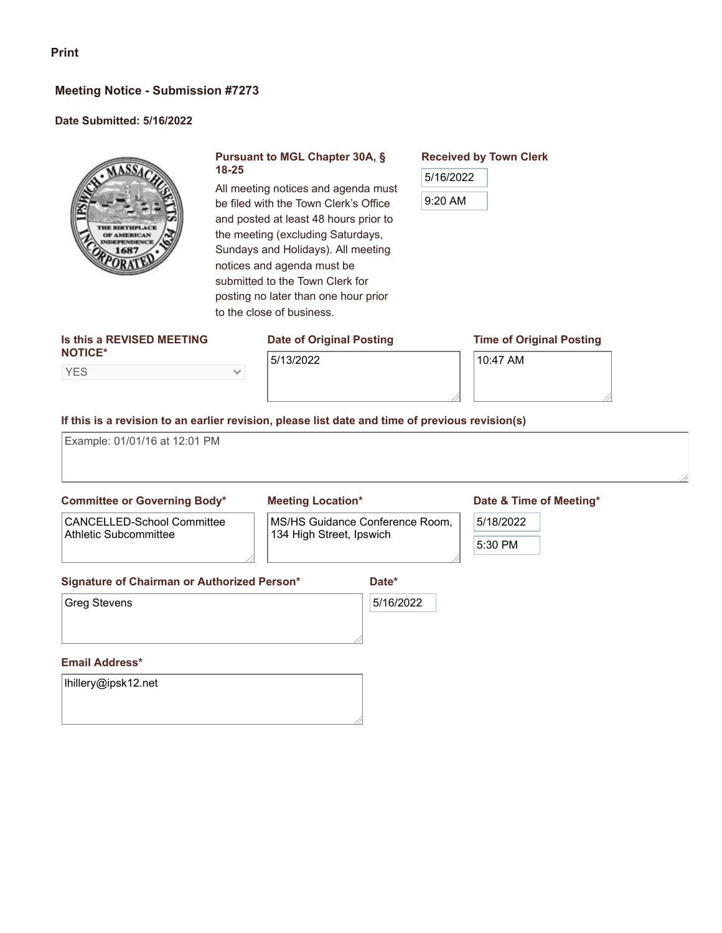# **Meeting Notice - Submission #7273**

## **Date Submitted: 5/16/2022**



## **Pursuant to MGL Chapter 30A, § 18-25**

All meeting notices and agenda must be filed with the Town Clerk's Office and posted at least 48 hours prior to the meeting (excluding Saturdays, Sundays and Holidays). All meeting notices and agenda must be submitted to the Town Clerk for posting no later than one hour prior to the close of business.

## **Is this a REVISED MEETING NOTICE\***

YES

# **Date of Original Posting**

## **Time of Original Posting**

5/13/2022

 $\checkmark$ 

10:47 AM

**Received by Town Clerk**

5/16/2022

9:20 AM

## **If this is a revision to an earlier revision, please list date and time of previous revision(s)**

Example: 01/01/16 at 12:01 PM

# **Committee or Governing Body\*** CANCELLED-School Committee

Athletic Subcommittee

## **Meeting Location\***

MS/HS Guidance Conference Room, 134 High Street, Ipswich

## **Date & Time of Meeting\***

# 5/18/2022

#### **Signature of Chairman or Authorized Person\***

Greg Stevens

5/16/2022

**Date\***

## **Email Address\***

lhillery@ipsk12.net

5:30 PM